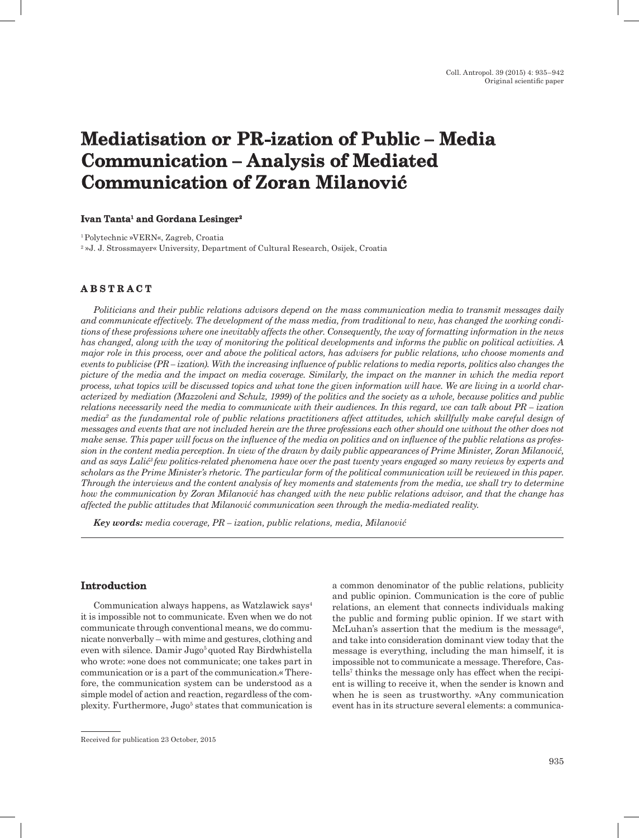# **Mediatisation or PR-ization of Public – Media Communication – Analysis of Mediated Communication of Zoran Milanović**

#### **Ivan Tanta1 and Gordana Lesinger2**

<sup>1</sup>Polytechnic »VERN«, Zagreb, Croatia 2 »J. J. Strossmayer« University, Department of Cultural Research, Osijek, Croatia

## **A B S T R A C T**

*Politicians and their public relations advisors depend on the mass communication media to transmit messages daily and communicate effectively. The development of the mass media, from traditional to new, has changed the working conditions of these professions where one inevitably affects the other. Consequently, the way of formatting information in the news has changed, along with the way of monitoring the political developments and informs the public on political activities. A major role in this process, over and above the political actors, has advisers for public relations, who choose moments and events to publicise (PR – ization). With the increasing influence of public relations to media reports, politics also changes the picture of the media and the impact on media coverage. Similarly, the impact on the manner in which the media report process, what topics will be discussed topics and what tone the given information will have. We are living in a world characterized by mediation (Mazzoleni and Schulz, 1999) of the politics and the society as a whole, because politics and public relations necessarily need the media to communicate with their audiences. In this regard, we can talk about PR – ization media2 as the fundamental role of public relations practitioners affect attitudes, which skillfully make careful design of messages and events that are not included herein are the three professions each other should one without the other does not make sense. This paper will focus on the influence of the media on politics and on influence of the public relations as profession in the content media perception. In view of the drawn by daily public appearances of Prime Minister, Zoran Milanović, and as says Lalić3 few politics-related phenomena have over the past twenty years engaged so many reviews by experts and scholars as the Prime Minister's rhetoric. The particular form of the political communication will be reviewed in this paper. Through the interviews and the content analysis of key moments and statements from the media, we shall try to determine how the communication by Zoran Milanović has changed with the new public relations advisor, and that the change has affected the public attitudes that Milanović communication seen through the media-mediated reality.*

*Key words: media coverage, PR – ization, public relations, media, Milanović*

#### **Introduction**

Communication always happens, as Watzlawick says<sup>4</sup> it is impossible not to communicate. Even when we do not communicate through conventional means, we do communicate nonverbally – with mime and gestures, clothing and even with silence. Damir Jugo<sup>5</sup> quoted Ray Birdwhistella who wrote: »one does not communicate; one takes part in communication or is a part of the communication.« Therefore, the communication system can be understood as a simple model of action and reaction, regardless of the complexity. Furthermore, Jugo<sup>5</sup> states that communication is a common denominator of the public relations, publicity and public opinion. Communication is the core of public relations, an element that connects individuals making the public and forming public opinion. If we start with McLuhan's assertion that the medium is the message<sup>6</sup>, and take into consideration dominant view today that the message is everything, including the man himself, it is impossible not to communicate a message. Therefore, Castells7 thinks the message only has effect when the recipient is willing to receive it, when the sender is known and when he is seen as trustworthy. »Any communication event has in its structure several elements: a communica-

Received for publication 23 October, 2015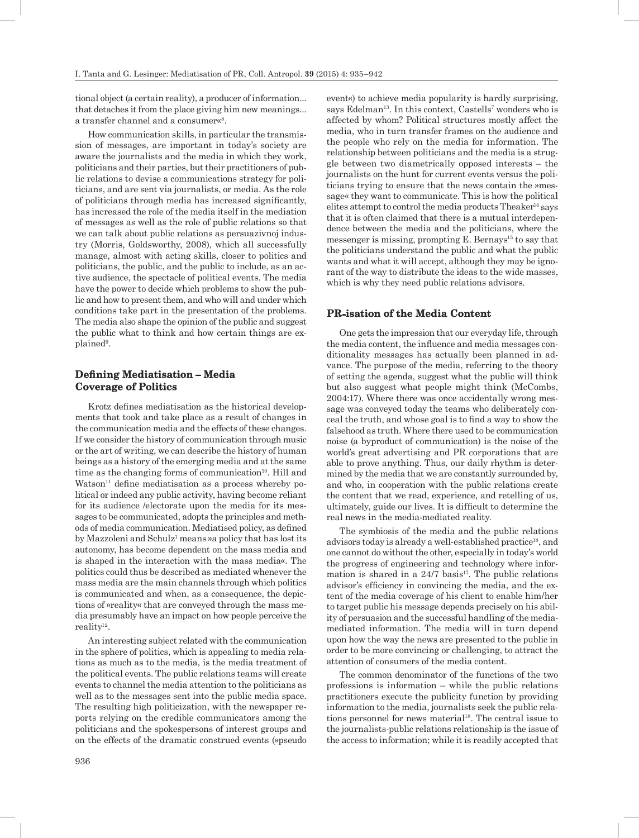tional object (a certain reality), a producer of information... that detaches it from the place giving him new meanings... a transfer channel and a consumer«<sup>8</sup>.

How communication skills, in particular the transmission of messages, are important in today's society are aware the journalists and the media in which they work, politicians and their parties, but their practitioners of public relations to devise a communications strategy for politicians, and are sent via journalists, or media. As the role of politicians through media has increased significantly, has increased the role of the media itself in the mediation of messages as well as the role of public relations so that we can talk about public relations as persuazivnoj industry (Morris, Goldsworthy, 2008), which all successfully manage, almost with acting skills, closer to politics and politicians, the public, and the public to include, as an active audience, the spectacle of political events. The media have the power to decide which problems to show the public and how to present them, and who will and under which conditions take part in the presentation of the problems. The media also shape the opinion of the public and suggest the public what to think and how certain things are explained<sup>9</sup>.

## **Defining Mediatisation – Media Coverage of Politics**

Krotz defines mediatisation as the historical developments that took and take place as a result of changes in the communication media and the effects of these changes. If we consider the history of communication through music or the art of writing, we can describe the history of human beings as a history of the emerging media and at the same time as the changing forms of communication $10$ . Hill and  $Watson<sup>11</sup>$  define mediatisation as a process whereby political or indeed any public activity, having become reliant for its audience /electorate upon the media for its messages to be communicated, adopts the principles and methods of media communication. Mediatised policy, as defined by Mazzoleni and Schulz<sup>1</sup> means »a policy that has lost its autonomy, has become dependent on the mass media and is shaped in the interaction with the mass media«. The politics could thus be described as mediated whenever the mass media are the main channels through which politics is communicated and when, as a consequence, the depictions of »reality« that are conveyed through the mass media presumably have an impact on how people perceive the reality<sup>12</sup>.

An interesting subject related with the communication in the sphere of politics, which is appealing to media relations as much as to the media, is the media treatment of the political events. The public relations teams will create events to channel the media attention to the politicians as well as to the messages sent into the public media space. The resulting high politicization, with the newspaper reports relying on the credible communicators among the politicians and the spokespersons of interest groups and on the effects of the dramatic construed events (»pseudo

event«) to achieve media popularity is hardly surprising, says Edelman<sup>13</sup>. In this context, Castells<sup>7</sup> wonders who is affected by whom? Political structures mostly affect the media, who in turn transfer frames on the audience and the people who rely on the media for information. The relationship between politicians and the media is a struggle between two diametrically opposed interests – the journalists on the hunt for current events versus the politicians trying to ensure that the news contain the »message« they want to communicate. This is how the political elites attempt to control the media products Theaker<sup>14</sup> says that it is often claimed that there is a mutual interdependence between the media and the politicians, where the messenger is missing, prompting  $E$ . Bernays<sup>15</sup> to say that the politicians understand the public and what the public wants and what it will accept, although they may be ignorant of the way to distribute the ideas to the wide masses, which is why they need public relations advisors.

## **PR-isation of the Media Content**

One gets the impression that our everyday life, through the media content, the influence and media messages conditionality messages has actually been planned in advance. The purpose of the media, referring to the theory of setting the agenda, suggest what the public will think but also suggest what people might think (McCombs, 2004:17). Where there was once accidentally wrong message was conveyed today the teams who deliberately conceal the truth, and whose goal is to find a way to show the falsehood as truth. Where there used to be communication noise (a byproduct of communication) is the noise of the world's great advertising and PR corporations that are able to prove anything. Thus, our daily rhythm is determined by the media that we are constantly surrounded by, and who, in cooperation with the public relations create the content that we read, experience, and retelling of us, ultimately, guide our lives. It is difficult to determine the real news in the media-mediated reality.

The symbiosis of the media and the public relations advisors today is already a well-established practice<sup>18</sup>, and one cannot do without the other, especially in today's world the progress of engineering and technology where information is shared in a  $24/7$  basis<sup>17</sup>. The public relations advisor's efficiency in convincing the media, and the extent of the media coverage of his client to enable him/her to target public his message depends precisely on his ability of persuasion and the successful handling of the mediamediated information. The media will in turn depend upon how the way the news are presented to the public in order to be more convincing or challenging, to attract the attention of consumers of the media content.

The common denominator of the functions of the two professions is information – while the public relations practitioners execute the publicity function by providing information to the media, journalists seek the public relations personnel for news material<sup>18</sup>. The central issue to the journalists-public relations relationship is the issue of the access to information; while it is readily accepted that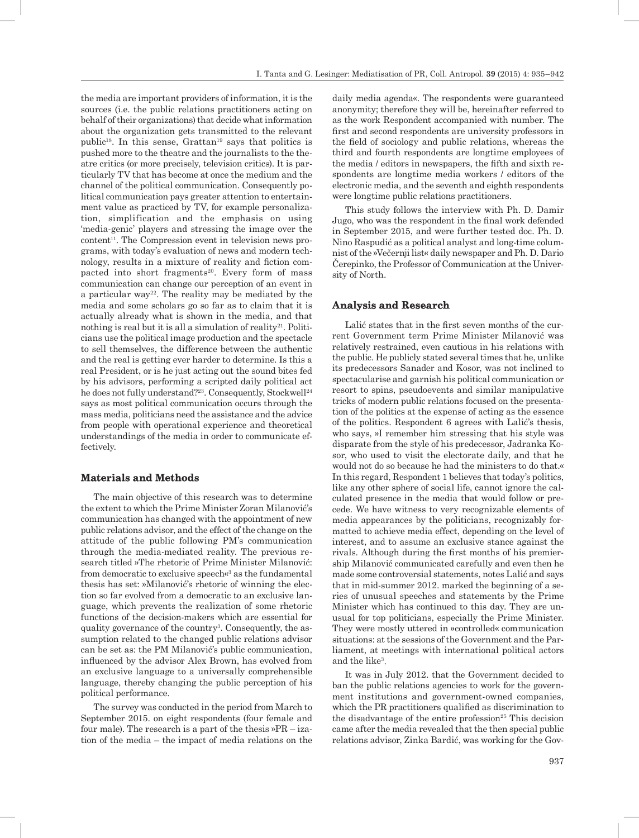the media are important providers of information, it is the sources (i.e. the public relations practitioners acting on behalf of their organizations) that decide what information about the organization gets transmitted to the relevant public18. In this sense, Grattan19 says that politics is pushed more to the theatre and the journalists to the theatre critics (or more precisely, television critics). It is particularly TV that has become at once the medium and the channel of the political communication. Consequently political communication pays greater attention to entertainment value as practiced by TV, for example personalization, simplification and the emphasis on using 'media-genic' players and stressing the image over the  $content<sup>11</sup>$ . The Compression event in television news programs, with today's evaluation of news and modern technology, results in a mixture of reality and fiction compacted into short fragments<sup>20</sup>. Every form of mass communication can change our perception of an event in a particular way<sup>22</sup>. The reality may be mediated by the media and some scholars go so far as to claim that it is actually already what is shown in the media, and that nothing is real but it is all a simulation of reality<sup>21</sup>. Politicians use the political image production and the spectacle to sell themselves, the difference between the authentic and the real is getting ever harder to determine. Is this a real President, or is he just acting out the sound bites fed by his advisors, performing a scripted daily political act he does not fully understand?<sup>23</sup>. Consequently, Stockwell<sup>24</sup> says as most political communication occurs through the mass media, politicians need the assistance and the advice from people with operational experience and theoretical understandings of the media in order to communicate effectively.

#### **Materials and Methods**

The main objective of this research was to determine the extent to which the Prime Minister Zoran Milanović's communication has changed with the appointment of new public relations advisor, and the effect of the change on the attitude of the public following PM's communication through the media-mediated reality. The previous research titled »The rhetoric of Prime Minister Milanović: from democratic to exclusive speech«<sup>3</sup> as the fundamental thesis has set: »Milanović's rhetoric of winning the election so far evolved from a democratic to an exclusive language, which prevents the realization of some rhetoric functions of the decision-makers which are essential for quality governance of the country<sup>3</sup>. Consequently, the assumption related to the changed public relations advisor can be set as: the PM Milanović's public communication, influenced by the advisor Alex Brown, has evolved from an exclusive language to a universally comprehensible language, thereby changing the public perception of his political performance.

The survey was conducted in the period from March to September 2015. on eight respondents (four female and four male). The research is a part of the thesis  $P_{R} - iZ = IZ$ tion of the media – the impact of media relations on the

daily media agenda«. The respondents were guaranteed anonymity; therefore they will be, hereinafter referred to as the work Respondent accompanied with number. The first and second respondents are university professors in the field of sociology and public relations, whereas the third and fourth respondents are longtime employees of the media / editors in newspapers, the fifth and sixth respondents are longtime media workers / editors of the electronic media, and the seventh and eighth respondents were longtime public relations practitioners.

This study follows the interview with Ph. D. Damir Jugo, who was the respondent in the final work defended in September 2015, and were further tested doc. Ph. D. Nino Raspudić as a political analyst and long-time columnist of the »Večernji list« daily newspaper and Ph. D. Dario Čerepinko, the Professor of Communication at the University of North.

#### **Analysis and Research**

Lalić states that in the first seven months of the current Government term Prime Minister Milanović was relatively restrained, even cautious in his relations with the public. He publicly stated several times that he, unlike its predecessors Sanader and Kosor, was not inclined to spectacularise and garnish his political communication or resort to spins, pseudoevents and similar manipulative tricks of modern public relations focused on the presentation of the politics at the expense of acting as the essence of the politics. Respondent 6 agrees with Lalić's thesis, who says, »I remember him stressing that his style was disparate from the style of his predecessor, Jadranka Kosor, who used to visit the electorate daily, and that he would not do so because he had the ministers to do that.« In this regard, Respondent 1 believes that today's politics, like any other sphere of social life, cannot ignore the calculated presence in the media that would follow or precede. We have witness to very recognizable elements of media appearances by the politicians, recognizably formatted to achieve media effect, depending on the level of interest, and to assume an exclusive stance against the rivals. Although during the first months of his premiership Milanović communicated carefully and even then he made some controversial statements, notes Lalić and says that in mid-summer 2012. marked the beginning of a series of unusual speeches and statements by the Prime Minister which has continued to this day. They are unusual for top politicians, especially the Prime Minister. They were mostly uttered in »controlled« communication situations: at the sessions of the Government and the Parliament, at meetings with international political actors and the like<sup>3</sup>.

It was in July 2012. that the Government decided to ban the public relations agencies to work for the government institutions and government-owned companies, which the PR practitioners qualified as discrimination to the disadvantage of the entire profession<sup>25</sup> This decision came after the media revealed that the then special public relations advisor, Zinka Bardić, was working for the Gov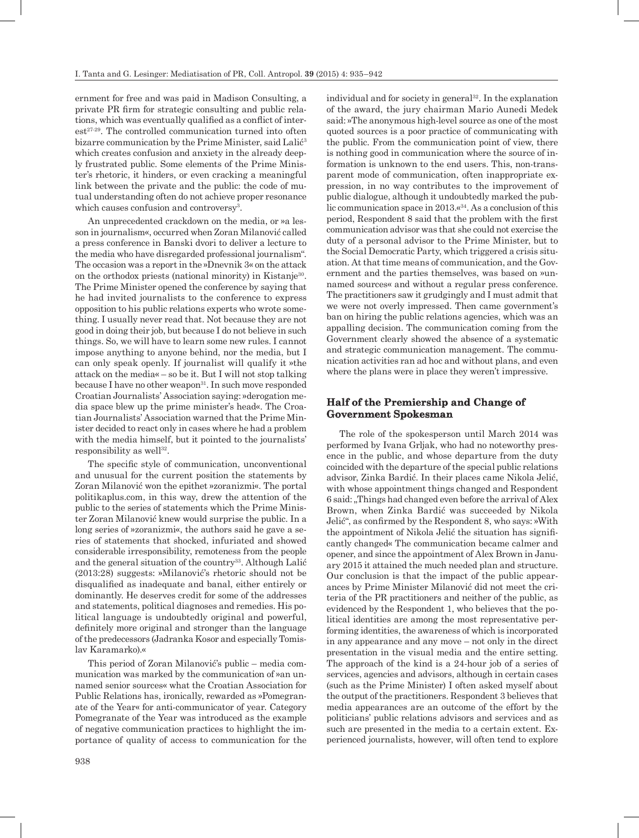ernment for free and was paid in Madison Consulting, a private PR firm for strategic consulting and public relations, which was eventually qualified as a conflict of interest<sup>27-29</sup>. The controlled communication turned into often bizarre communication by the Prime Minister, said Lalić<sup>3</sup> which creates confusion and anxiety in the already deeply frustrated public. Some elements of the Prime Minister's rhetoric, it hinders, or even cracking a meaningful link between the private and the public: the code of mutual understanding often do not achieve proper resonance which causes confusion and controversy<sup>3</sup>.

An unprecedented crackdown on the media, or »a lesson in journalism«, occurred when Zoran Milanović called a press conference in Banski dvori to deliver a lecture to the media who have disregarded professional journalism". The occasion was a report in the »Dnevnik 3« on the attack on the orthodox priests (national minority) in Kistanje30. The Prime Minister opened the conference by saying that he had invited journalists to the conference to express opposition to his public relations experts who wrote something. I usually never read that. Not because they are not good in doing their job, but because I do not believe in such things. So, we will have to learn some new rules. I cannot impose anything to anyone behind, nor the media, but I can only speak openly. If journalist will qualify it »the attack on the media« – so be it. But I will not stop talking because I have no other weapon<sup>31</sup>. In such move responded Croatian Journalists' Association saying: »derogation media space blew up the prime minister's head«. The Croatian Journalists' Association warned that the Prime Minister decided to react only in cases where he had a problem with the media himself, but it pointed to the journalists' responsibility as well $^{32}$ .

The specific style of communication, unconventional and unusual for the current position the statements by Zoran Milanović won the epithet »zoranizmi«. The portal politikaplus.com, in this way, drew the attention of the public to the series of statements which the Prime Minister Zoran Milanović knew would surprise the public. In a long series of »zoranizmi«, the authors said he gave a series of statements that shocked, infuriated and showed considerable irresponsibility, remoteness from the people and the general situation of the country<sup>33</sup>. Although Lalić (2013:28) suggests: »Milanović's rhetoric should not be disqualified as inadequate and banal, either entirely or dominantly. He deserves credit for some of the addresses and statements, political diagnoses and remedies. His political language is undoubtedly original and powerful, definitely more original and stronger than the language of the predecessors (Jadranka Kosor and especially Tomislav Karamarko).«

This period of Zoran Milanović's public – media communication was marked by the communication of »an unnamed senior sources« what the Croatian Association for Public Relations has, ironically, rewarded as »Pomegranate of the Year« for anti-communicator of year. Category Pomegranate of the Year was introduced as the example of negative communication practices to highlight the importance of quality of access to communication for the individual and for society in general<sup>32</sup>. In the explanation of the award, the jury chairman Mario Aunedi Medek said: »The anonymous high-level source as one of the most quoted sources is a poor practice of communicating with the public. From the communication point of view, there is nothing good in communication where the source of information is unknown to the end users. This, non-transparent mode of communication, often inappropriate expression, in no way contributes to the improvement of public dialogue, although it undoubtedly marked the public communication space in  $2013\cdot\mathsf{R}^{34}$ . As a conclusion of this period, Respondent 8 said that the problem with the first communication advisor was that she could not exercise the duty of a personal advisor to the Prime Minister, but to the Social Democratic Party, which triggered a crisis situation. At that time means of communication, and the Government and the parties themselves, was based on »unnamed sources« and without a regular press conference. The practitioners saw it grudgingly and I must admit that we were not overly impressed. Then came government's ban on hiring the public relations agencies, which was an appalling decision. The communication coming from the Government clearly showed the absence of a systematic and strategic communication management. The communication activities ran ad hoc and without plans, and even where the plans were in place they weren't impressive.

## **Half of the Premiership and Change of Government Spokesman**

The role of the spokesperson until March 2014 was performed by Ivana Grljak, who had no noteworthy presence in the public, and whose departure from the duty coincided with the departure of the special public relations advisor, Zinka Bardić. In their places came Nikola Jelić, with whose appointment things changed and Respondent 6 said: "Things had changed even before the arrival of Alex Brown, when Zinka Bardić was succeeded by Nikola Jelić", as confirmed by the Respondent 8, who says: »With the appointment of Nikola Jelić the situation has significantly changed« The communication became calmer and opener, and since the appointment of Alex Brown in January 2015 it attained the much needed plan and structure. Our conclusion is that the impact of the public appearances by Prime Minister Milanović did not meet the criteria of the PR practitioners and neither of the public, as evidenced by the Respondent 1, who believes that the political identities are among the most representative performing identities, the awareness of which is incorporated in any appearance and any move – not only in the direct presentation in the visual media and the entire setting. The approach of the kind is a 24-hour job of a series of services, agencies and advisors, although in certain cases (such as the Prime Minister) I often asked myself about the output of the practitioners. Respondent 3 believes that media appearances are an outcome of the effort by the politicians' public relations advisors and services and as such are presented in the media to a certain extent. Experienced journalists, however, will often tend to explore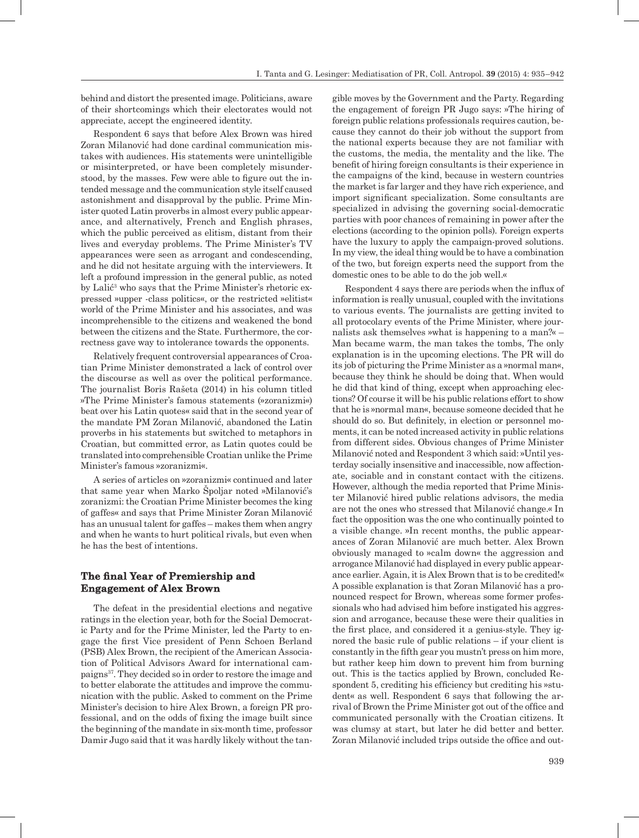behind and distort the presented image. Politicians, aware of their shortcomings which their electorates would not appreciate, accept the engineered identity.

Respondent 6 says that before Alex Brown was hired Zoran Milanović had done cardinal communication mistakes with audiences. His statements were unintelligible or misinterpreted, or have been completely misunderstood, by the masses. Few were able to figure out the intended message and the communication style itself caused astonishment and disapproval by the public. Prime Minister quoted Latin proverbs in almost every public appearance, and alternatively, French and English phrases, which the public perceived as elitism, distant from their lives and everyday problems. The Prime Minister's TV appearances were seen as arrogant and condescending, and he did not hesitate arguing with the interviewers. It left a profound impression in the general public, as noted by Lalić<sup>3</sup> who says that the Prime Minister's rhetoric expressed »upper -class politics«, or the restricted »elitist« world of the Prime Minister and his associates, and was incomprehensible to the citizens and weakened the bond between the citizens and the State. Furthermore, the correctness gave way to intolerance towards the opponents.

Relatively frequent controversial appearances of Croatian Prime Minister demonstrated a lack of control over the discourse as well as over the political performance. The journalist Boris Rašeta (2014) in his column titled »The Prime Minister's famous statements (»zoranizmi«) beat over his Latin quotes« said that in the second year of the mandate PM Zoran Milanović, abandoned the Latin proverbs in his statements but switched to metaphors in Croatian, but committed error, as Latin quotes could be translated into comprehensible Croatian unlike the Prime Minister's famous »zoranizmi«.

A series of articles on »zoranizmi« continued and later that same year when Marko Špoljar noted »Milanović's zoranizmi: the Croatian Prime Minister becomes the king of gaffes« and says that Prime Minister Zoran Milanović has an unusual talent for gaffes – makes them when angry and when he wants to hurt political rivals, but even when he has the best of intentions.

## **The final Year of Premiership and Engagement of Alex Brown**

The defeat in the presidential elections and negative ratings in the election year, both for the Social Democratic Party and for the Prime Minister, led the Party to engage the first Vice president of Penn Schoen Berland (PSB) Alex Brown, the recipient of the American Association of Political Advisors Award for international campaigns37. They decided so in order to restore the image and to better elaborate the attitudes and improve the communication with the public. Asked to comment on the Prime Minister's decision to hire Alex Brown, a foreign PR professional, and on the odds of fixing the image built since the beginning of the mandate in six-month time, professor Damir Jugo said that it was hardly likely without the tan-

gible moves by the Government and the Party. Regarding the engagement of foreign PR Jugo says: »The hiring of foreign public relations professionals requires caution, because they cannot do their job without the support from the national experts because they are not familiar with the customs, the media, the mentality and the like. The benefit of hiring foreign consultants is their experience in the campaigns of the kind, because in western countries the market is far larger and they have rich experience, and import significant specialization. Some consultants are specialized in advising the governing social-democratic parties with poor chances of remaining in power after the elections (according to the opinion polls). Foreign experts have the luxury to apply the campaign-proved solutions. In my view, the ideal thing would be to have a combination of the two, but foreign experts need the support from the domestic ones to be able to do the job well.«

Respondent 4 says there are periods when the influx of information is really unusual, coupled with the invitations to various events. The journalists are getting invited to all protocolary events of the Prime Minister, where journalists ask themselves »what is happening to a man?« – Man became warm, the man takes the tombs, The only explanation is in the upcoming elections. The PR will do its job of picturing the Prime Minister as a »normal man«, because they think he should be doing that. When would he did that kind of thing, except when approaching elections? Of course it will be his public relations effort to show that he is »normal man«, because someone decided that he should do so. But definitely, in election or personnel moments, it can be noted increased activity in public relations from different sides. Obvious changes of Prime Minister Milanović noted and Respondent 3 which said: »Until yesterday socially insensitive and inaccessible, now affectionate, sociable and in constant contact with the citizens. However, although the media reported that Prime Minister Milanović hired public relations advisors, the media are not the ones who stressed that Milanović change.« In fact the opposition was the one who continually pointed to a visible change. »In recent months, the public appearances of Zoran Milanović are much better. Alex Brown obviously managed to »calm down« the aggression and arrogance Milanović had displayed in every public appearance earlier. Again, it is Alex Brown that is to be credited!« A possible explanation is that Zoran Milanović has a pronounced respect for Brown, whereas some former professionals who had advised him before instigated his aggression and arrogance, because these were their qualities in the first place, and considered it a genius-style. They ignored the basic rule of public relations – if your client is constantly in the fifth gear you mustn't press on him more, but rather keep him down to prevent him from burning out. This is the tactics applied by Brown, concluded Respondent 5, crediting his efficiency but crediting his »student« as well. Respondent 6 says that following the arrival of Brown the Prime Minister got out of the office and communicated personally with the Croatian citizens. It was clumsy at start, but later he did better and better. Zoran Milanović included trips outside the office and out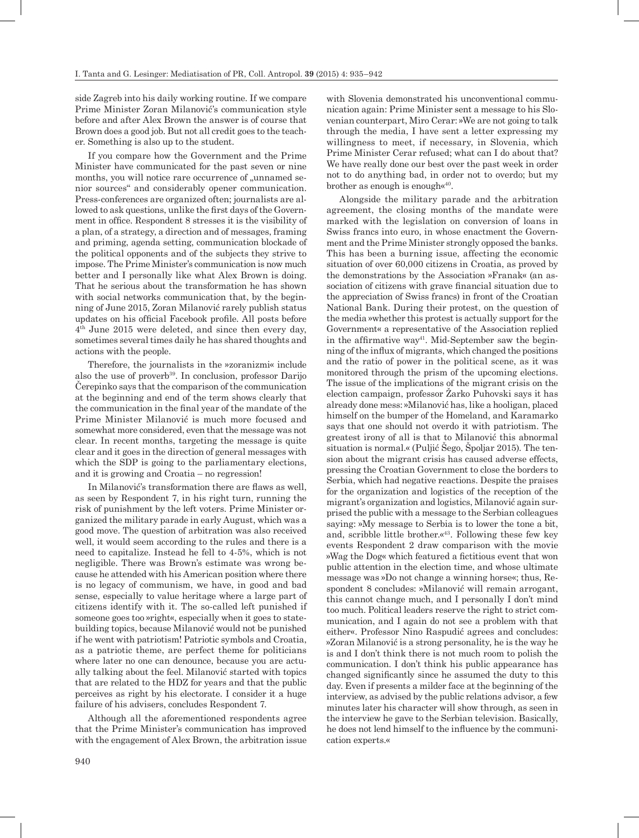side Zagreb into his daily working routine. If we compare Prime Minister Zoran Milanović's communication style before and after Alex Brown the answer is of course that Brown does a good job. But not all credit goes to the teacher. Something is also up to the student.

If you compare how the Government and the Prime Minister have communicated for the past seven or nine months, you will notice rare occurrence of "unnamed senior sources" and considerably opener communication. Press-conferences are organized often; journalists are allowed to ask questions, unlike the first days of the Government in office. Respondent 8 stresses it is the visibility of a plan, of a strategy, a direction and of messages, framing and priming, agenda setting, communication blockade of the political opponents and of the subjects they strive to impose. The Prime Minister's communication is now much better and I personally like what Alex Brown is doing. That he serious about the transformation he has shown with social networks communication that, by the beginning of June 2015, Zoran Milanović rarely publish status updates on his official Facebook profile. All posts before 4th June 2015 were deleted, and since then every day, sometimes several times daily he has shared thoughts and actions with the people.

Therefore, the journalists in the »zoranizmi« include also the use of proverb<sup>39</sup>. In conclusion, professor Darijo Čerepinko says that the comparison of the communication at the beginning and end of the term shows clearly that the communication in the final year of the mandate of the Prime Minister Milanović is much more focused and somewhat more considered, even that the message was not clear. In recent months, targeting the message is quite clear and it goes in the direction of general messages with which the SDP is going to the parliamentary elections, and it is growing and Croatia – no regression!

In Milanović's transformation there are flaws as well, as seen by Respondent 7, in his right turn, running the risk of punishment by the left voters. Prime Minister organized the military parade in early August, which was a good move. The question of arbitration was also received well, it would seem according to the rules and there is a need to capitalize. Instead he fell to 4-5%, which is not negligible. There was Brown's estimate was wrong because he attended with his American position where there is no legacy of communism, we have, in good and bad sense, especially to value heritage where a large part of citizens identify with it. The so-called left punished if someone goes too »right«, especially when it goes to statebuilding topics, because Milanović would not be punished if he went with patriotism! Patriotic symbols and Croatia, as a patriotic theme, are perfect theme for politicians where later no one can denounce, because you are actually talking about the feel. Milanović started with topics that are related to the HDZ for years and that the public perceives as right by his electorate. I consider it a huge failure of his advisers, concludes Respondent 7.

Although all the aforementioned respondents agree that the Prime Minister's communication has improved with the engagement of Alex Brown, the arbitration issue with Slovenia demonstrated his unconventional communication again: Prime Minister sent a message to his Slovenian counterpart, Miro Cerar: »We are not going to talk through the media, I have sent a letter expressing my willingness to meet, if necessary, in Slovenia, which Prime Minister Cerar refused; what can I do about that? We have really done our best over the past week in order not to do anything bad, in order not to overdo; but my brother as enough is enough  $\mathbf{K}^{40}$ .

Alongside the military parade and the arbitration agreement, the closing months of the mandate were marked with the legislation on conversion of loans in Swiss francs into euro, in whose enactment the Government and the Prime Minister strongly opposed the banks. This has been a burning issue, affecting the economic situation of over 60,000 citizens in Croatia, as proved by the demonstrations by the Association »Franak« (an association of citizens with grave financial situation due to the appreciation of Swiss francs) in front of the Croatian National Bank. During their protest, on the question of the media »whether this protest is actually support for the Government« a representative of the Association replied in the affirmative way<sup>41</sup>. Mid-September saw the beginning of the influx of migrants, which changed the positions and the ratio of power in the political scene, as it was monitored through the prism of the upcoming elections. The issue of the implications of the migrant crisis on the election campaign, professor Žarko Puhovski says it has already done mess: »Milanović has, like a hooligan, placed himself on the bumper of the Homeland, and Karamarko says that one should not overdo it with patriotism. The greatest irony of all is that to Milanović this abnormal situation is normal.« (Puljić Šego, Špoljar 2015). The tension about the migrant crisis has caused adverse effects, pressing the Croatian Government to close the borders to Serbia, which had negative reactions. Despite the praises for the organization and logistics of the reception of the migrant's organization and logistics, Milanović again surprised the public with a message to the Serbian colleagues saying: »My message to Serbia is to lower the tone a bit, and, scribble little brother. $\alpha^{43}$ . Following these few key events Respondent 2 draw comparison with the movie »Wag the Dog« which featured a fictitious event that won public attention in the election time, and whose ultimate message was »Do not change a winning horse«; thus, Respondent 8 concludes: »Milanović will remain arrogant, this cannot change much, and I personally I don't mind too much. Political leaders reserve the right to strict communication, and I again do not see a problem with that either«. Professor Nino Raspudić agrees and concludes: »Zoran Milanović is a strong personality, he is the way he is and I don't think there is not much room to polish the communication. I don't think his public appearance has changed significantly since he assumed the duty to this day. Even if presents a milder face at the beginning of the interview, as advised by the public relations advisor, a few minutes later his character will show through, as seen in the interview he gave to the Serbian television. Basically, he does not lend himself to the influence by the communication experts.«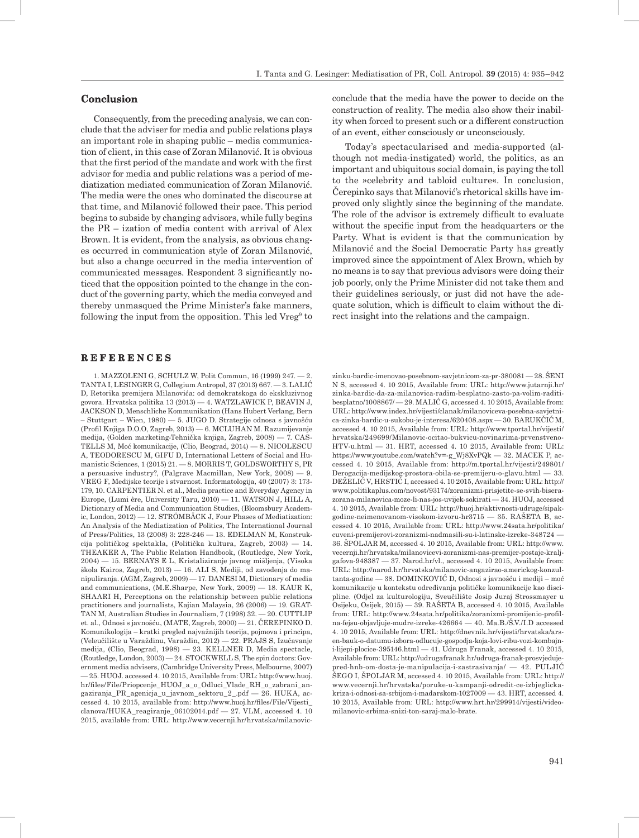### **Conclusion**

Consequently, from the preceding analysis, we can conclude that the adviser for media and public relations plays an important role in shaping public – media communication of client, in this case of Zoran Milanović. It is obvious that the first period of the mandate and work with the first advisor for media and public relations was a period of mediatization mediated communication of Zoran Milanović. The media were the ones who dominated the discourse at that time, and Milanović followed their pace. This period begins to subside by changing advisors, while fully begins the PR – ization of media content with arrival of Alex Brown. It is evident, from the analysis, as obvious changes occurred in communication style of Zoran Milanović, but also a change occurred in the media intervention of communicated messages. Respondent 3 significantly noticed that the opposition pointed to the change in the conduct of the governing party, which the media conveyed and thereby unmasqued the Prime Minister's fake manners, following the input from the opposition. This led Vreg<sup>9</sup> to

#### **R E F E R E N C E S**

1. MAZZOLENI G, SCHULZ W, Polit Commun, 16 (1999) 247. — 2. TANTA I, LESINGER G, Collegium Antropol, 37 (2013) 667. — 3. LALIĆ D, Retorika premijera Milanovića: od demokratskoga do ekskluzivnog govora. Hrvatska politika 13 (2013) — 4. WATZLAWICK P, BEAVIN J, JACKSON D, Menschliche Kommunikation (Hans Hubert Verlang, Bern – Stuttgart – Wien, 1980) — 5. JUGO D. Strategije odnosa s javnošću (Profil Knjiga D.O.O, Zagreb, 2013) — 6. MCLUHAN M. Razumijevanje medija, (Golden marketing-Tehnička knjiga, Zagreb, 2008) — 7. CAS-TELLS M, Moć komunikacije, (Clio, Beograd, 2014) — 8. NICOLESCU A, TEODORESCU M, GIFU D, International Letters of Social and Humanistic Sciences, 1 (2015) 21. — 8. MORRIS T, GOLDSWORTHY S, PR a persuasive industry?, (Palgrave Macmillan, New York, 2008) — 9. VREG F, Medijske teorije i stvarnost. Informatologija, 40 (2007) 3: 173- 179, 10. CARPENTIER N. et al., Media practice and Everyday Agency in Europe, (Lumi ère, University Taru, 2010) — 11. WATSON J, HILL A, Dictionary of Media and Communication Studies, (Bloomsbury Academic, London, 2012) — 12. STRÖMBÄCK J, Four Phases of Mediatization: An Analysis of the Mediatization of Politics, The International Journal of Press/Politics, 13 (2008) 3: 228-246 — 13. EDELMAN M, Konstrukcija političkog spektakla, (Politička kultura, Zagreb, 2003) — 14. THEAKER A, The Public Relation Handbook, (Routledge, New York, 2004) — 15. BERNAYS E L, Kristaliziranje javnog mišljenja, (Visoka škola Kairos, Zagreb, 2013) — 16. ALI S, Mediji, od zavođenja do manipuliranja. (AGM, Zagreb, 2009) — 17. DANESI M, Dictionary of media and communications, (M.E.Sharpe, New York, 2009) — 18. KAUR K, SHAARI H, Perceptions on the relationship between public relations practitioners and journalists, Kajian Malaysia, 26 (2006) — 19. GRAT-TAN M, Australian Studies in Journalism, 7 (1998) 32. — 20. CUTTLIP et. al., Odnosi s javnošću, (MATE, Zagreb, 2000) — 21. ČEREPINKO D. Komunikologija – kratki pregled najvažnijih teorija, pojmova i principa, (Veleučilište u Varaždinu, Varaždin, 2012) — 22. PRAJS S, Izučavanje medija, (Clio, Beograd, 1998) — 23. KELLNER D, Media spectacle, (Routledge, London, 2003) — 24. STOCKWELL S, The spin doctors: Government media advisers, (Cambridge University Press, Melbourne, 2007) — 25. HUOJ. accessed 4. 10 2015, Available from: URL: http://www.huoj. hr/files/File/Priopcenje\_HUOJ\_a\_o\_Odluci\_Vlade\_RH\_o\_zabrani\_angaziranja\_PR\_agenicja\_u\_javnom\_sektoru\_2\_.pdf — 26. HUKA, accessed 4. 10 2015, available from: http://www.huoj.hr/files/File/Vijesti\_  $clanova/HUKA$  reagiranie  $06102014.pdf$   $- 27$ . VLM, accessed 4. 10 2015, available from: URL: http://www.vecernji.hr/hrvatska/milanovicconclude that the media have the power to decide on the construction of reality. The media also show their inability when forced to present such or a different construction of an event, either consciously or unconsciously.

Today's spectacularised and media-supported (although not media-instigated) world, the politics, as an important and ubiquitous social domain, is paying the toll to the »celebrity and tabloid culture«. In conclusion, Čerepinko says that Milanović's rhetorical skills have improved only slightly since the beginning of the mandate. The role of the advisor is extremely difficult to evaluate without the specific input from the headquarters or the Party. What is evident is that the communication by Milanović and the Social Democratic Party has greatly improved since the appointment of Alex Brown, which by no means is to say that previous advisors were doing their job poorly, only the Prime Minister did not take them and their guidelines seriously, or just did not have the adequate solution, which is difficult to claim without the direct insight into the relations and the campaign.

zinku-bardic-imenovao-posebnom-savjetnicom-za-pr-380081 — 28. ŠENI N S, accessed 4. 10 2015, Available from: URL: http://www.jutarnji.hr/ zinka-bardic-da-za-milanovica-radim-besplatno-zasto-pa-volim-raditibesplatno/1008867/ — 29. MALIĆ G, accessed 4. 10 2015, Available from: URL: http://www.index.hr/vijesti/clanak/milanoviceva-posebna-savjetnica-zinka-bardic-u-sukobu-je-interesa/620408.aspx — 30. BARUKČIĆ M, accessed 4. 10 2015, Available from: URL: http://www.tportal.hr/vijesti/ hrvatska/249699/Milanovic-ocitao-bukvicu-novinarima-prvenstveno-HTV-u.html — 31. HRT, accessed 4. 10 2015, Available from: URL: https://www.youtube.com/watch?v=-g\_Wj8XvPQk — 32. MACEK P, accessed 4. 10 2015, Available from: http://m.tportal.hr/vijesti/249801/ Derogacija-medijskog-prostora-obila-se-premijeru-o-glavu.html — 33. DEŽELIĆ V, HRSTIĆ I, accessed 4. 10 2015, Available from: URL: http:// www.politikaplus.com/novost/93174/zoranizmi-prisjetite-se-svih-biserazorana-milanovica-moze-li-nas-jos-uvijek-sokirati — 34. HUOJ, accessed 4. 10 2015, Available from: URL: http://huoj.hr/aktivnosti-udruge/sipakgodine-neimenovanom-visokom-izvoru-hr3715 — 35. RAŠETA B, accessed 4. 10 2015, Available from: URL: http://www.24sata.hr/politika/ cuveni-premijerovi-zoranizmi-nadmasili-su-i-latinske-izreke-348724 — 36. ŠPOLJAR M, accessed 4. 10 2015, Available from: URL: http://www. vecernji.hr/hrvatska/milanovicevi-zoranizmi-nas-premijer-postaje-kraljgafova-948387 — 37. Narod.hr/vl., accessed 4. 10 2015, Available from: URL: http://narod.hr/hrvatska/milanovic-angazirao-americkog-konzultanta-godine — 38. DOMINKOVIĆ D, Odnosi s javnošću i mediji – moć komunikacije u kontekstu određivanja političke komunikacije kao discipline. (Odjel za kulturologiju, Sveučilište Josip Juraj Strossmayer u Osijeku, Osijek, 2015) — 39. RAŠETA B, accessed 4. 10 2015, Available from: URL: http://www.24sata.hr/politika/zoranizmi-promijenio-profilna-fejsu-objavljuje-mudre-izreke-426664 — 40. Ma.B./Š.V./I.D accessed 4. 10 2015, Available from: URL: http://dnevnik.hr/vijesti/hrvatska/arsen-bauk-o-datumu-izbora-odlucuje-gospodja-koja-lovi-ribu-vozi-kombajni-lijepi-plocice-395146.html — 41. Udruga Franak, accessed 4. 10 2015, Available from: URL: http://udrugafranak.hr/udruga-franak-prosvjedujepred-hnb-om-dosta-je-manipulacija-i-zastrasivanja/ — 42. PULJIĆ ŠEGO I, ŠPOLJAR M, accessed 4. 10 2015, Available from: URL: http:// www.vecernji.hr/hrvatska/poruke-u-kampanji-odredit-ce-izbjeglickakriza-i-odnosi-sa-srbijom-i-madarskom-1027009 — 43. HRT, accessed 4. 10 2015, Available from: URL: http://www.hrt.hr/299914/vijesti/videomilanovic-srbima-snizi-ton-saraj-malo-brate.